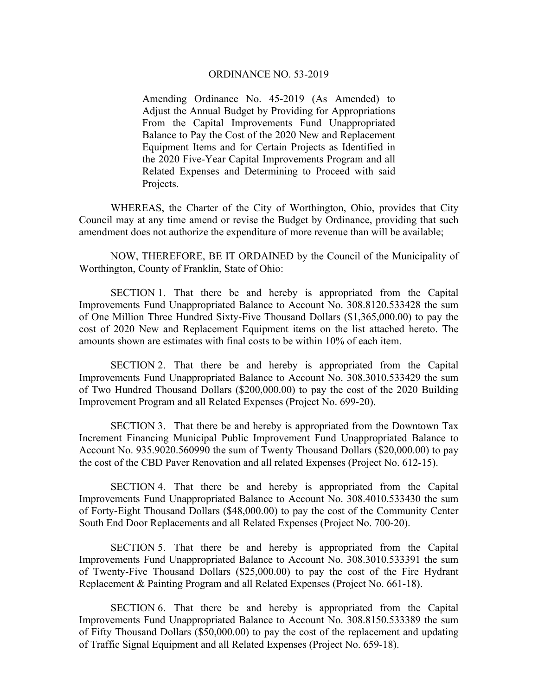## ORDINANCE NO. 53-2019

Amending Ordinance No. 45-2019 (As Amended) to Adjust the Annual Budget by Providing for Appropriations From the Capital Improvements Fund Unappropriated Balance to Pay the Cost of the 2020 New and Replacement Equipment Items and for Certain Projects as Identified in the 2020 Five-Year Capital Improvements Program and all Related Expenses and Determining to Proceed with said Projects.

 WHEREAS, the Charter of the City of Worthington, Ohio, provides that City Council may at any time amend or revise the Budget by Ordinance, providing that such amendment does not authorize the expenditure of more revenue than will be available;

 NOW, THEREFORE, BE IT ORDAINED by the Council of the Municipality of Worthington, County of Franklin, State of Ohio:

 SECTION 1. That there be and hereby is appropriated from the Capital Improvements Fund Unappropriated Balance to Account No. 308.8120.533428 the sum of One Million Three Hundred Sixty-Five Thousand Dollars (\$1,365,000.00) to pay the cost of 2020 New and Replacement Equipment items on the list attached hereto. The amounts shown are estimates with final costs to be within 10% of each item.

 SECTION 2. That there be and hereby is appropriated from the Capital Improvements Fund Unappropriated Balance to Account No. 308.3010.533429 the sum of Two Hundred Thousand Dollars (\$200,000.00) to pay the cost of the 2020 Building Improvement Program and all Related Expenses (Project No. 699-20).

 SECTION 3. That there be and hereby is appropriated from the Downtown Tax Increment Financing Municipal Public Improvement Fund Unappropriated Balance to Account No. 935.9020.560990 the sum of Twenty Thousand Dollars (\$20,000.00) to pay the cost of the CBD Paver Renovation and all related Expenses (Project No. 612-15).

 SECTION 4. That there be and hereby is appropriated from the Capital Improvements Fund Unappropriated Balance to Account No. 308.4010.533430 the sum of Forty-Eight Thousand Dollars (\$48,000.00) to pay the cost of the Community Center South End Door Replacements and all Related Expenses (Project No. 700-20).

 SECTION 5. That there be and hereby is appropriated from the Capital Improvements Fund Unappropriated Balance to Account No. 308.3010.533391 the sum of Twenty-Five Thousand Dollars (\$25,000.00) to pay the cost of the Fire Hydrant Replacement & Painting Program and all Related Expenses (Project No. 661-18).

SECTION 6. That there be and hereby is appropriated from the Capital Improvements Fund Unappropriated Balance to Account No. 308.8150.533389 the sum of Fifty Thousand Dollars (\$50,000.00) to pay the cost of the replacement and updating of Traffic Signal Equipment and all Related Expenses (Project No. 659-18).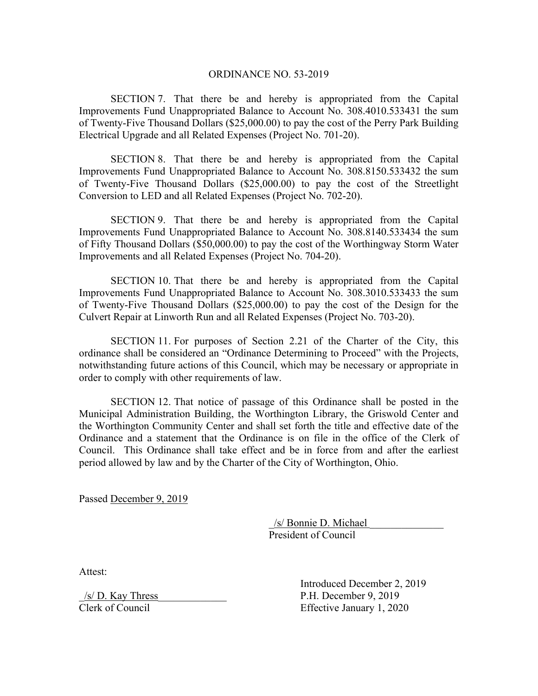## ORDINANCE NO. 53-2019

SECTION 7. That there be and hereby is appropriated from the Capital Improvements Fund Unappropriated Balance to Account No. 308.4010.533431 the sum of Twenty-Five Thousand Dollars (\$25,000.00) to pay the cost of the Perry Park Building Electrical Upgrade and all Related Expenses (Project No. 701-20).

SECTION 8. That there be and hereby is appropriated from the Capital Improvements Fund Unappropriated Balance to Account No. 308.8150.533432 the sum of Twenty-Five Thousand Dollars (\$25,000.00) to pay the cost of the Streetlight Conversion to LED and all Related Expenses (Project No. 702-20).

SECTION 9. That there be and hereby is appropriated from the Capital Improvements Fund Unappropriated Balance to Account No. 308.8140.533434 the sum of Fifty Thousand Dollars (\$50,000.00) to pay the cost of the Worthingway Storm Water Improvements and all Related Expenses (Project No. 704-20).

SECTION 10. That there be and hereby is appropriated from the Capital Improvements Fund Unappropriated Balance to Account No. 308.3010.533433 the sum of Twenty-Five Thousand Dollars (\$25,000.00) to pay the cost of the Design for the Culvert Repair at Linworth Run and all Related Expenses (Project No. 703-20).

SECTION 11. For purposes of Section 2.21 of the Charter of the City, this ordinance shall be considered an "Ordinance Determining to Proceed" with the Projects, notwithstanding future actions of this Council, which may be necessary or appropriate in order to comply with other requirements of law.

SECTION 12. That notice of passage of this Ordinance shall be posted in the Municipal Administration Building, the Worthington Library, the Griswold Center and the Worthington Community Center and shall set forth the title and effective date of the Ordinance and a statement that the Ordinance is on file in the office of the Clerk of Council. This Ordinance shall take effect and be in force from and after the earliest period allowed by law and by the Charter of the City of Worthington, Ohio.

Passed December 9, 2019

 \_/s/ Bonnie D. Michael \_\_\_\_\_\_\_\_\_\_\_\_\_\_ President of Council

Attest:

 $/s/D$ . Kay Thress P.H. December 9, 2019 Clerk of Council Effective January 1, 2020

Introduced December 2, 2019